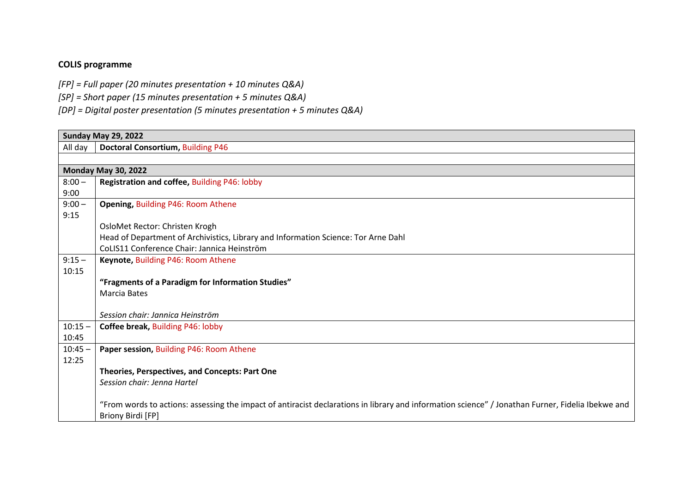## **COLIS programme**

- *[FP] = Full paper (20 minutes presentation + 10 minutes Q&A)*
- *[SP] = Short paper (15 minutes presentation + 5 minutes Q&A)*
- *[DP] = Digital poster presentation (5 minutes presentation + 5 minutes Q&A)*

| <b>Sunday May 29, 2022</b> |                                                                                                                                                   |  |  |
|----------------------------|---------------------------------------------------------------------------------------------------------------------------------------------------|--|--|
| All day                    | <b>Doctoral Consortium, Building P46</b>                                                                                                          |  |  |
|                            |                                                                                                                                                   |  |  |
|                            | <b>Monday May 30, 2022</b>                                                                                                                        |  |  |
| $8:00 -$                   | Registration and coffee, Building P46: lobby                                                                                                      |  |  |
| 9:00                       |                                                                                                                                                   |  |  |
| $9:00 -$                   | Opening, Building P46: Room Athene                                                                                                                |  |  |
| 9:15                       |                                                                                                                                                   |  |  |
|                            | OsloMet Rector: Christen Krogh                                                                                                                    |  |  |
|                            | Head of Department of Archivistics, Library and Information Science: Tor Arne Dahl                                                                |  |  |
|                            | CoLIS11 Conference Chair: Jannica Heinström                                                                                                       |  |  |
| $9:15 -$                   | Keynote, Building P46: Room Athene                                                                                                                |  |  |
| 10:15                      |                                                                                                                                                   |  |  |
|                            | "Fragments of a Paradigm for Information Studies"                                                                                                 |  |  |
|                            | <b>Marcia Bates</b>                                                                                                                               |  |  |
|                            |                                                                                                                                                   |  |  |
|                            | Session chair: Jannica Heinström                                                                                                                  |  |  |
| $10:15 -$                  | Coffee break, Building P46: lobby                                                                                                                 |  |  |
| 10:45                      |                                                                                                                                                   |  |  |
| $10:45 -$                  | Paper session, Building P46: Room Athene                                                                                                          |  |  |
| 12:25                      |                                                                                                                                                   |  |  |
|                            | Theories, Perspectives, and Concepts: Part One                                                                                                    |  |  |
|                            | Session chair: Jenna Hartel                                                                                                                       |  |  |
|                            |                                                                                                                                                   |  |  |
|                            | "From words to actions: assessing the impact of antiracist declarations in library and information science" / Jonathan Furner, Fidelia Ibekwe and |  |  |
|                            | Briony Birdi [FP]                                                                                                                                 |  |  |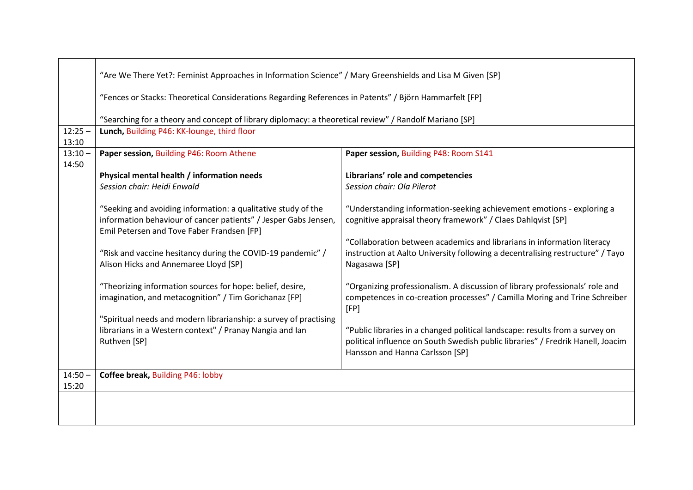|                    | "Are We There Yet?: Feminist Approaches in Information Science" / Mary Greenshields and Lisa M Given [SP]                                                                      |                                                                                                                                                                                                    |  |  |
|--------------------|--------------------------------------------------------------------------------------------------------------------------------------------------------------------------------|----------------------------------------------------------------------------------------------------------------------------------------------------------------------------------------------------|--|--|
|                    | "Fences or Stacks: Theoretical Considerations Regarding References in Patents" / Björn Hammarfelt [FP]                                                                         |                                                                                                                                                                                                    |  |  |
|                    | "Searching for a theory and concept of library diplomacy: a theoretical review" / Randolf Mariano [SP]                                                                         |                                                                                                                                                                                                    |  |  |
| $12:25 -$<br>13:10 | Lunch, Building P46: KK-lounge, third floor                                                                                                                                    |                                                                                                                                                                                                    |  |  |
| $13:10 -$<br>14:50 | Paper session, Building P46: Room Athene                                                                                                                                       | Paper session, Building P48: Room S141                                                                                                                                                             |  |  |
|                    | Physical mental health / information needs                                                                                                                                     | Librarians' role and competencies                                                                                                                                                                  |  |  |
|                    | Session chair: Heidi Enwald                                                                                                                                                    | Session chair: Ola Pilerot                                                                                                                                                                         |  |  |
|                    | "Seeking and avoiding information: a qualitative study of the<br>information behaviour of cancer patients" / Jesper Gabs Jensen,<br>Emil Petersen and Tove Faber Frandsen [FP] | "Understanding information-seeking achievement emotions - exploring a<br>cognitive appraisal theory framework" / Claes Dahlqvist [SP]                                                              |  |  |
|                    | "Risk and vaccine hesitancy during the COVID-19 pandemic" /<br>Alison Hicks and Annemaree Lloyd [SP]                                                                           | "Collaboration between academics and librarians in information literacy<br>instruction at Aalto University following a decentralising restructure" / Tayo<br>Nagasawa [SP]                         |  |  |
|                    | "Theorizing information sources for hope: belief, desire,<br>imagination, and metacognition" / Tim Gorichanaz [FP]                                                             | "Organizing professionalism. A discussion of library professionals' role and<br>competences in co-creation processes" / Camilla Moring and Trine Schreiber<br>[FP]                                 |  |  |
|                    | "Spiritual needs and modern librarianship: a survey of practising                                                                                                              |                                                                                                                                                                                                    |  |  |
|                    | librarians in a Western context" / Pranay Nangia and lan<br>Ruthven [SP]                                                                                                       | "Public libraries in a changed political landscape: results from a survey on<br>political influence on South Swedish public libraries" / Fredrik Hanell, Joacim<br>Hansson and Hanna Carlsson [SP] |  |  |
| $14:50 -$<br>15:20 | Coffee break, Building P46: lobby                                                                                                                                              |                                                                                                                                                                                                    |  |  |
|                    |                                                                                                                                                                                |                                                                                                                                                                                                    |  |  |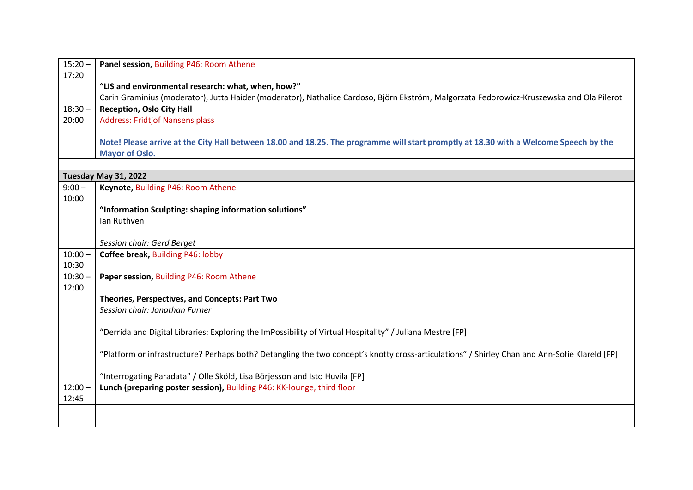| $15:20 -$          | Panel session, Building P46: Room Athene                                                                                                      |  |
|--------------------|-----------------------------------------------------------------------------------------------------------------------------------------------|--|
| 17:20              |                                                                                                                                               |  |
|                    | "LIS and environmental research: what, when, how?"                                                                                            |  |
|                    | Carin Graminius (moderator), Jutta Haider (moderator), Nathalice Cardoso, Björn Ekström, Małgorzata Fedorowicz-Kruszewska and Ola Pilerot     |  |
| $18:30 -$          | <b>Reception, Oslo City Hall</b>                                                                                                              |  |
| 20:00              | <b>Address: Fridtjof Nansens plass</b>                                                                                                        |  |
|                    |                                                                                                                                               |  |
|                    | Note! Please arrive at the City Hall between 18.00 and 18.25. The programme will start promptly at 18.30 with a Welcome Speech by the         |  |
|                    | <b>Mayor of Oslo.</b>                                                                                                                         |  |
|                    |                                                                                                                                               |  |
|                    | Tuesday May 31, 2022                                                                                                                          |  |
| $9:00 -$           | Keynote, Building P46: Room Athene                                                                                                            |  |
| 10:00              |                                                                                                                                               |  |
|                    | "Information Sculpting: shaping information solutions"                                                                                        |  |
|                    | Ian Ruthven                                                                                                                                   |  |
|                    |                                                                                                                                               |  |
|                    | Session chair: Gerd Berget                                                                                                                    |  |
| $10:00 -$<br>10:30 | Coffee break, Building P46: lobby                                                                                                             |  |
|                    |                                                                                                                                               |  |
| $10:30 -$<br>12:00 | Paper session, Building P46: Room Athene                                                                                                      |  |
|                    | Theories, Perspectives, and Concepts: Part Two                                                                                                |  |
|                    | Session chair: Jonathan Furner                                                                                                                |  |
|                    |                                                                                                                                               |  |
|                    | "Derrida and Digital Libraries: Exploring the ImPossibility of Virtual Hospitality" / Juliana Mestre [FP]                                     |  |
|                    |                                                                                                                                               |  |
|                    | "Platform or infrastructure? Perhaps both? Detangling the two concept's knotty cross-articulations" / Shirley Chan and Ann-Sofie Klareld [FP] |  |
|                    |                                                                                                                                               |  |
|                    | "Interrogating Paradata" / Olle Sköld, Lisa Börjesson and Isto Huvila [FP]                                                                    |  |
| $12:00 -$          | Lunch (preparing poster session), Building P46: KK-lounge, third floor                                                                        |  |
| 12:45              |                                                                                                                                               |  |
|                    |                                                                                                                                               |  |
|                    |                                                                                                                                               |  |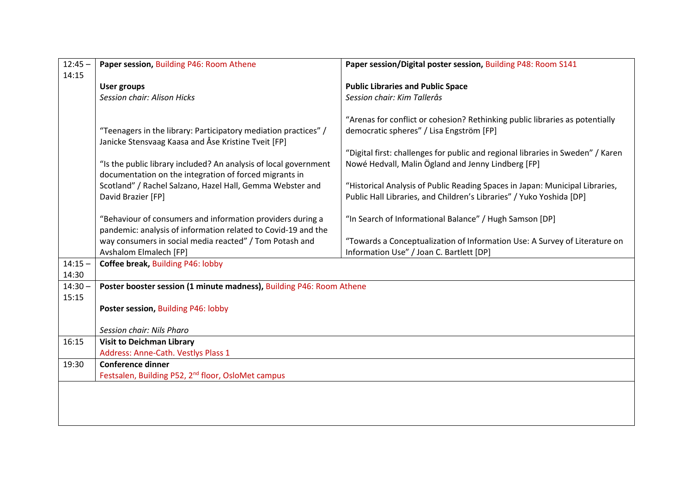| $12:45 -$ | Paper session, Building P46: Room Athene                                | Paper session/Digital poster session, Building P48: Room S141                   |
|-----------|-------------------------------------------------------------------------|---------------------------------------------------------------------------------|
| 14:15     |                                                                         |                                                                                 |
|           | <b>User groups</b>                                                      | <b>Public Libraries and Public Space</b>                                        |
|           | Session chair: Alison Hicks                                             | Session chair: Kim Tallerås                                                     |
|           |                                                                         |                                                                                 |
|           |                                                                         | "Arenas for conflict or cohesion? Rethinking public libraries as potentially    |
|           | "Teenagers in the library: Participatory mediation practices" /         | democratic spheres" / Lisa Engström [FP]                                        |
|           | Janicke Stensvaag Kaasa and Åse Kristine Tveit [FP]                     |                                                                                 |
|           |                                                                         | "Digital first: challenges for public and regional libraries in Sweden" / Karen |
|           | "Is the public library included? An analysis of local government        | Nowé Hedvall, Malin Ögland and Jenny Lindberg [FP]                              |
|           | documentation on the integration of forced migrants in                  |                                                                                 |
|           | Scotland" / Rachel Salzano, Hazel Hall, Gemma Webster and               | "Historical Analysis of Public Reading Spaces in Japan: Municipal Libraries,    |
|           | David Brazier [FP]                                                      | Public Hall Libraries, and Children's Libraries" / Yuko Yoshida [DP]            |
|           |                                                                         |                                                                                 |
|           | "Behaviour of consumers and information providers during a              | "In Search of Informational Balance" / Hugh Samson [DP]                         |
|           | pandemic: analysis of information related to Covid-19 and the           |                                                                                 |
|           | way consumers in social media reacted" / Tom Potash and                 | "Towards a Conceptualization of Information Use: A Survey of Literature on      |
|           | <b>Avshalom Elmalech [FP]</b>                                           | Information Use" / Joan C. Bartlett [DP]                                        |
| $14:15 -$ | Coffee break, Building P46: lobby                                       |                                                                                 |
| 14:30     |                                                                         |                                                                                 |
| $14:30 -$ | Poster booster session (1 minute madness), Building P46: Room Athene    |                                                                                 |
| 15:15     |                                                                         |                                                                                 |
|           | Poster session, Building P46: lobby                                     |                                                                                 |
|           |                                                                         |                                                                                 |
|           | Session chair: Nils Pharo                                               |                                                                                 |
| 16:15     | <b>Visit to Deichman Library</b><br>Address: Anne-Cath. Vestlys Plass 1 |                                                                                 |
| 19:30     |                                                                         |                                                                                 |
|           | <b>Conference dinner</b>                                                |                                                                                 |
|           | Festsalen, Building P52, 2 <sup>nd</sup> floor, OsloMet campus          |                                                                                 |
|           |                                                                         |                                                                                 |
|           |                                                                         |                                                                                 |
|           |                                                                         |                                                                                 |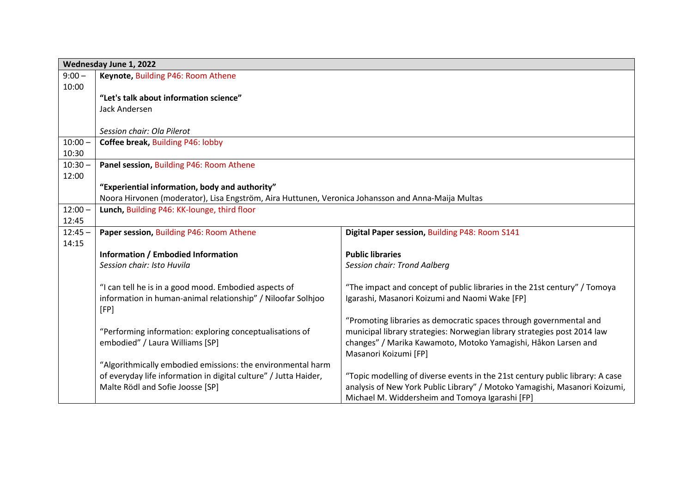|           | Wednesday June 1, 2022                                                                             |                                                                               |  |  |
|-----------|----------------------------------------------------------------------------------------------------|-------------------------------------------------------------------------------|--|--|
| $9:00 -$  | Keynote, Building P46: Room Athene                                                                 |                                                                               |  |  |
| 10:00     |                                                                                                    |                                                                               |  |  |
|           | "Let's talk about information science"                                                             |                                                                               |  |  |
|           | Jack Andersen                                                                                      |                                                                               |  |  |
|           |                                                                                                    |                                                                               |  |  |
|           | Session chair: Ola Pilerot                                                                         |                                                                               |  |  |
| $10:00 -$ | Coffee break, Building P46: lobby                                                                  |                                                                               |  |  |
| 10:30     |                                                                                                    |                                                                               |  |  |
| $10:30 -$ | Panel session, Building P46: Room Athene                                                           |                                                                               |  |  |
| 12:00     |                                                                                                    |                                                                               |  |  |
|           | "Experiential information, body and authority"                                                     |                                                                               |  |  |
|           | Noora Hirvonen (moderator), Lisa Engström, Aira Huttunen, Veronica Johansson and Anna-Maija Multas |                                                                               |  |  |
| $12:00 -$ | Lunch, Building P46: KK-lounge, third floor                                                        |                                                                               |  |  |
| 12:45     |                                                                                                    |                                                                               |  |  |
| $12:45 -$ | Paper session, Building P46: Room Athene                                                           | Digital Paper session, Building P48: Room S141                                |  |  |
| 14:15     |                                                                                                    |                                                                               |  |  |
|           | <b>Information / Embodied Information</b>                                                          | <b>Public libraries</b>                                                       |  |  |
|           | Session chair: Isto Huvila                                                                         | Session chair: Trond Aalberg                                                  |  |  |
|           |                                                                                                    |                                                                               |  |  |
|           | "I can tell he is in a good mood. Embodied aspects of                                              | "The impact and concept of public libraries in the 21st century" / Tomoya     |  |  |
|           | information in human-animal relationship" / Niloofar Solhjoo                                       | Igarashi, Masanori Koizumi and Naomi Wake [FP]                                |  |  |
|           | [FP]                                                                                               |                                                                               |  |  |
|           |                                                                                                    | "Promoting libraries as democratic spaces through governmental and            |  |  |
|           | "Performing information: exploring conceptualisations of                                           | municipal library strategies: Norwegian library strategies post 2014 law      |  |  |
|           | embodied" / Laura Williams [SP]                                                                    | changes" / Marika Kawamoto, Motoko Yamagishi, Håkon Larsen and                |  |  |
|           |                                                                                                    | Masanori Koizumi [FP]                                                         |  |  |
|           | "Algorithmically embodied emissions: the environmental harm                                        |                                                                               |  |  |
|           | of everyday life information in digital culture" / Jutta Haider,                                   | "Topic modelling of diverse events in the 21st century public library: A case |  |  |
|           | Malte Rödl and Sofie Joosse [SP]                                                                   | analysis of New York Public Library" / Motoko Yamagishi, Masanori Koizumi,    |  |  |
|           |                                                                                                    | Michael M. Widdersheim and Tomoya Igarashi [FP]                               |  |  |